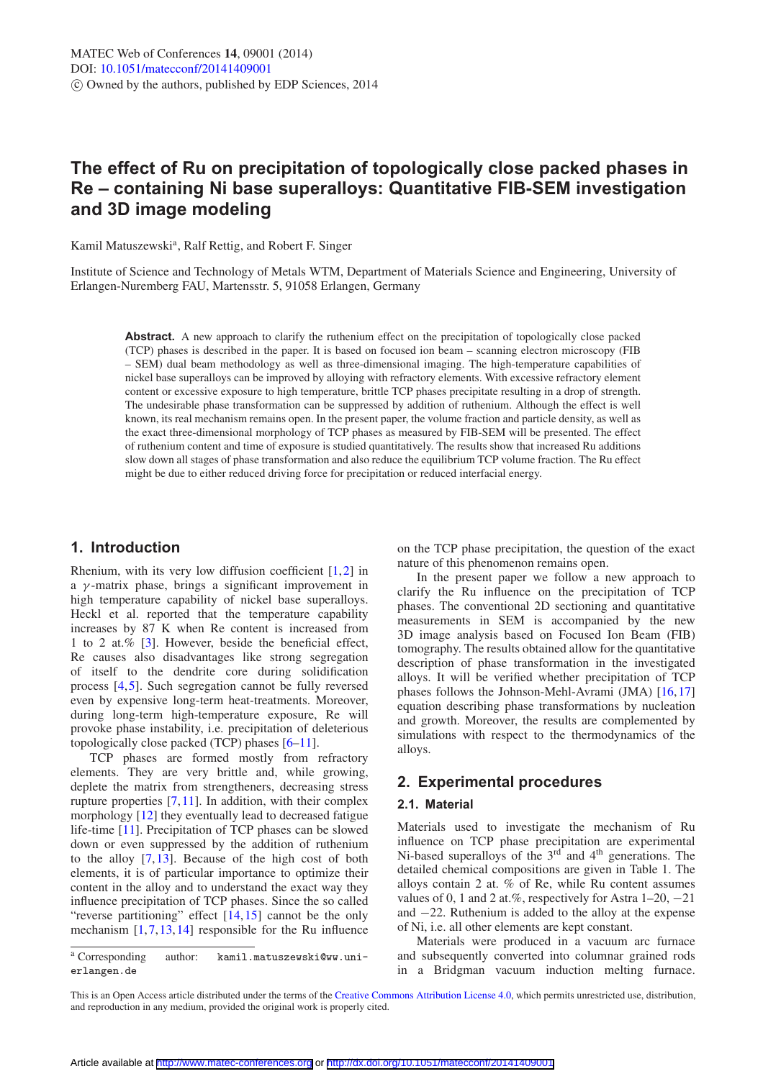# **The effect of Ru on precipitation of topologically close packed phases in Re – containing Ni base superalloys: Quantitative FIB-SEM investigation and 3D image modeling**

Kamil Matuszewski<sup>a</sup>, Ralf Rettig, and Robert F. Singer

Institute of Science and Technology of Metals WTM, Department of Materials Science and Engineering, University of Erlangen-Nuremberg FAU, Martensstr. 5, 91058 Erlangen, Germany

**Abstract.** A new approach to clarify the ruthenium effect on the precipitation of topologically close packed (TCP) phases is described in the paper. It is based on focused ion beam – scanning electron microscopy (FIB – SEM) dual beam methodology as well as three-dimensional imaging. The high-temperature capabilities of nickel base superalloys can be improved by alloying with refractory elements. With excessive refractory element content or excessive exposure to high temperature, brittle TCP phases precipitate resulting in a drop of strength. The undesirable phase transformation can be suppressed by addition of ruthenium. Although the effect is well known, its real mechanism remains open. In the present paper, the volume fraction and particle density, as well as the exact three-dimensional morphology of TCP phases as measured by FIB-SEM will be presented. The effect of ruthenium content and time of exposure is studied quantitatively. The results show that increased Ru additions slow down all stages of phase transformation and also reduce the equilibrium TCP volume fraction. The Ru effect might be due to either reduced driving force for precipitation or reduced interfacial energy.

# **1. Introduction**

Rhenium, with its very low diffusion coefficient  $[1,2]$  $[1,2]$  $[1,2]$  in a  $\gamma$ -matrix phase, brings a significant improvement in high temperature capability of nickel base superalloys. Heckl et al. reported that the temperature capability increases by 87 K when Re content is increased from 1 to 2 at.% [\[3](#page-5-2)]. However, beside the beneficial effect, Re causes also disadvantages like strong segregation of itself to the dendrite core during solidification process [\[4](#page-5-3)[,5](#page-5-4)]. Such segregation cannot be fully reversed even by expensive long-term heat-treatments. Moreover, during long-term high-temperature exposure, Re will provoke phase instability, i.e. precipitation of deleterious topologically close packed (TCP) phases [\[6](#page-5-5)[–11](#page-5-6)].

TCP phases are formed mostly from refractory elements. They are very brittle and, while growing, deplete the matrix from strengtheners, decreasing stress rupture properties  $[7,11]$  $[7,11]$  $[7,11]$ . In addition, with their complex morphology [\[12\]](#page-5-8) they eventually lead to decreased fatigue life-time [\[11\]](#page-5-6). Precipitation of TCP phases can be slowed down or even suppressed by the addition of ruthenium to the alloy [\[7,](#page-5-7)[13](#page-5-9)]. Because of the high cost of both elements, it is of particular importance to optimize their content in the alloy and to understand the exact way they influence precipitation of TCP phases. Since the so called "reverse partitioning" effect  $[14, 15]$  $[14, 15]$  $[14, 15]$  cannot be the only mechanism  $[1,7,13,14]$  $[1,7,13,14]$  $[1,7,13,14]$  $[1,7,13,14]$  $[1,7,13,14]$  responsible for the Ru influence on the TCP phase precipitation, the question of the exact nature of this phenomenon remains open.

In the present paper we follow a new approach to clarify the Ru influence on the precipitation of TCP phases. The conventional 2D sectioning and quantitative measurements in SEM is accompanied by the new 3D image analysis based on Focused Ion Beam (FIB) tomography. The results obtained allow for the quantitative description of phase transformation in the investigated alloys. It will be verified whether precipitation of TCP phases follows the Johnson-Mehl-Avrami (JMA) [\[16](#page-5-12),[17\]](#page-5-13) equation describing phase transformations by nucleation and growth. Moreover, the results are complemented by simulations with respect to the thermodynamics of the alloys.

# **2. Experimental procedures**

## **2.1. Material**

Materials used to investigate the mechanism of Ru influence on TCP phase precipitation are experimental Ni-based superalloys of the  $3<sup>rd</sup>$  and  $4<sup>th</sup>$  generations. The detailed chemical compositions are given in Table 1. The alloys contain 2 at. % of Re, while Ru content assumes values of 0, 1 and 2 at.%, respectively for Astra  $1-20, -21$ and −22. Ruthenium is added to the alloy at the expense of Ni, i.e. all other elements are kept constant.

Materials were produced in a vacuum arc furnace and subsequently converted into columnar grained rods in a Bridgman vacuum induction melting furnace.

<sup>a</sup> Corresponding author: kamil.matuszewski@ww.unierlangen.de

This is an Open Access article distributed under the terms of the [Creative Commons Attribution License 4.0,](http://creativecommons.org/licenses/by/4.0/) which permits unrestricted use, distribution, and reproduction in any medium, provided the original work is properly cited.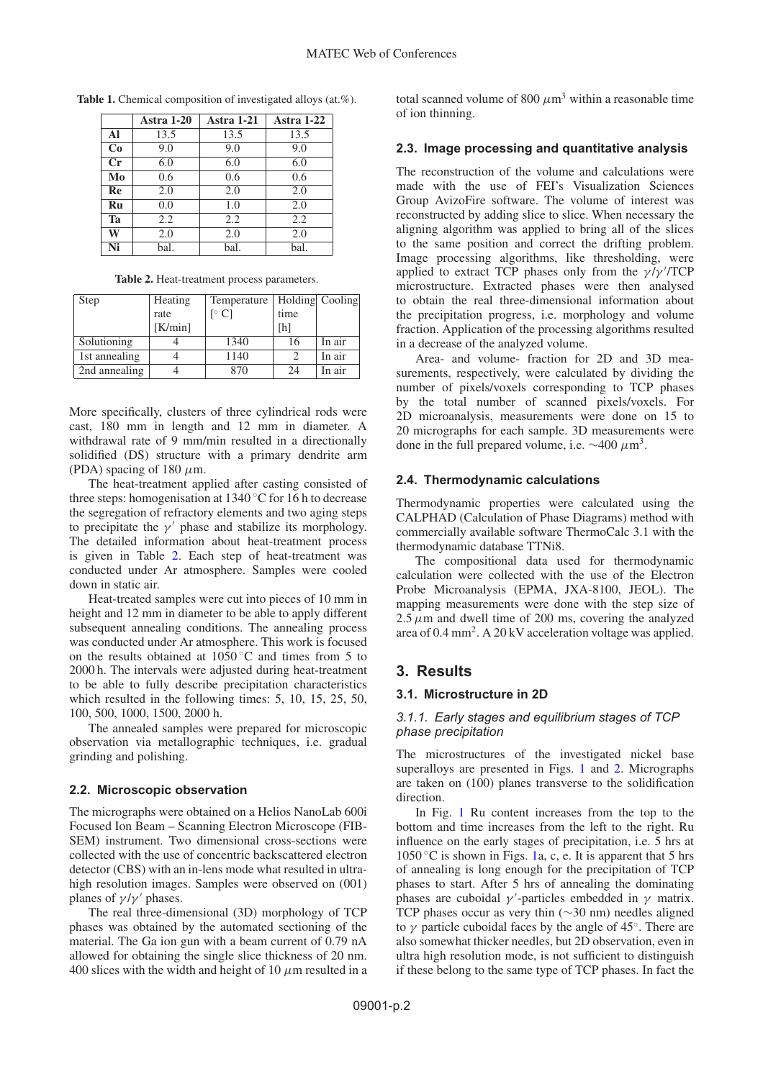|    | <b>Astra 1-20</b> | <b>Astra 1-21</b> | Astra 1-22 |
|----|-------------------|-------------------|------------|
| Al | 13.5              | 13.5              | 13.5       |
| Co | 9.0               | 9.0               | 9.0        |
| Cr | 6.0               | 6.0               | 6.0        |
| Mo | 0.6               | 0.6               | 0.6        |
| Re | 2.0               | 2.0               | 2.0        |
| Ru | 0.0               | 1.0               | 2.0        |
| Ta | 2.2               | 2.2               | 2.2        |
| W  | 2.0               | 2.0               | 2.0        |
| Ni | bal.              | bal.              | bal.       |

**Table 1.** Chemical composition of investigated alloys (at.%).

**Table 2.** Heat-treatment process parameters.

<span id="page-1-0"></span>

| Step          | Heating | Temperature   Holding Cooling |      |        |
|---------------|---------|-------------------------------|------|--------|
|               | rate    | $\lceil$ <sup>o</sup> C]      | time |        |
|               | [K/min] |                               | [h]  |        |
| Solutioning   |         | 1340                          | 16   | In air |
| 1st annealing |         | 1140                          |      | In air |
| 2nd annealing |         | 870                           | 24   | In air |

More specifically, clusters of three cylindrical rods were cast, 180 mm in length and 12 mm in diameter. A withdrawal rate of 9 mm/min resulted in a directionally solidified (DS) structure with a primary dendrite arm (PDA) spacing of 180  $\mu$ m.

The heat-treatment applied after casting consisted of three steps: homogenisation at  $1340\degree$ C for 16 h to decrease the segregation of refractory elements and two aging steps to precipitate the  $\gamma'$  phase and stabilize its morphology. The detailed information about heat-treatment process is given in Table [2.](#page-1-0) Each step of heat-treatment was conducted under Ar atmosphere. Samples were cooled down in static air.

Heat-treated samples were cut into pieces of 10 mm in height and 12 mm in diameter to be able to apply different subsequent annealing conditions. The annealing process was conducted under Ar atmosphere. This work is focused on the results obtained at  $10\overline{50}$  °C and times from 5 to 2000 h. The intervals were adjusted during heat-treatment to be able to fully describe precipitation characteristics which resulted in the following times: 5, 10, 15, 25, 50, 100, 500, 1000, 1500, 2000 h.

The annealed samples were prepared for microscopic observation via metallographic techniques, i.e. gradual grinding and polishing.

# **2.2. Microscopic observation**

The micrographs were obtained on a Helios NanoLab 600i Focused Ion Beam – Scanning Electron Microscope (FIB-SEM) instrument. Two dimensional cross-sections were collected with the use of concentric backscattered electron detector (CBS) with an in-lens mode what resulted in ultrahigh resolution images. Samples were observed on (001) planes of  $\gamma/\gamma'$  phases.

The real three-dimensional (3D) morphology of TCP phases was obtained by the automated sectioning of the material. The Ga ion gun with a beam current of 0.79 nA allowed for obtaining the single slice thickness of 20 nm. 400 slices with the width and height of 10  $\mu$ m resulted in a total scanned volume of 800  $\mu$ m<sup>3</sup> within a reasonable time of ion thinning.

# **2.3. Image processing and quantitative analysis**

The reconstruction of the volume and calculations were made with the use of FEI's Visualization Sciences Group AvizoFire software. The volume of interest was reconstructed by adding slice to slice. When necessary the aligning algorithm was applied to bring all of the slices to the same position and correct the drifting problem. Image processing algorithms, like thresholding, were applied to extract TCP phases only from the  $\gamma/\gamma'$ TCP microstructure. Extracted phases were then analysed to obtain the real three-dimensional information about the precipitation progress, i.e. morphology and volume fraction. Application of the processing algorithms resulted in a decrease of the analyzed volume.

Area- and volume- fraction for 2D and 3D measurements, respectively, were calculated by dividing the number of pixels/voxels corresponding to TCP phases by the total number of scanned pixels/voxels. For 2D microanalysis, measurements were done on 15 to 20 micrographs for each sample. 3D measurements were done in the full prepared volume, i.e.  $\sim$ 400  $\mu$ m<sup>3</sup>.

# **2.4. Thermodynamic calculations**

Thermodynamic properties were calculated using the CALPHAD (Calculation of Phase Diagrams) method with commercially available software ThermoCalc 3.1 with the thermodynamic database TTNi8.

The compositional data used for thermodynamic calculation were collected with the use of the Electron Probe Microanalysis (EPMA, JXA-8100, JEOL). The mapping measurements were done with the step size of  $2.5 \mu$ m and dwell time of 200 ms, covering the analyzed area of  $0.4 \text{ mm}^2$ . A  $20 \text{ kV}$  acceleration voltage was applied.

# **3. Results**

# **3.1. Microstructure in 2D**

### *3.1.1. Early stages and equilibrium stages of TCP phase precipitation*

The microstructures of the investigated nickel base superalloys are presented in Figs. [1](#page-2-0) and [2.](#page-2-1) Micrographs are taken on (100) planes transverse to the solidification direction.

In Fig. [1](#page-2-0) Ru content increases from the top to the bottom and time increases from the left to the right. Ru influence on the early stages of precipitation, i.e. 5 hrs at  $1050\degree$ C is shown in Figs. [1a](#page-2-0), c, e. It is apparent that 5 hrs of annealing is long enough for the precipitation of TCP phases to start. After 5 hrs of annealing the dominating phases are cuboidal  $\gamma'$ -particles embedded in  $\gamma$  matrix. TCP phases occur as very thin (∼30 nm) needles aligned to  $\gamma$  particle cuboidal faces by the angle of 45°. There are also somewhat thicker needles, but 2D observation, even in ultra high resolution mode, is not sufficient to distinguish if these belong to the same type of TCP phases. In fact the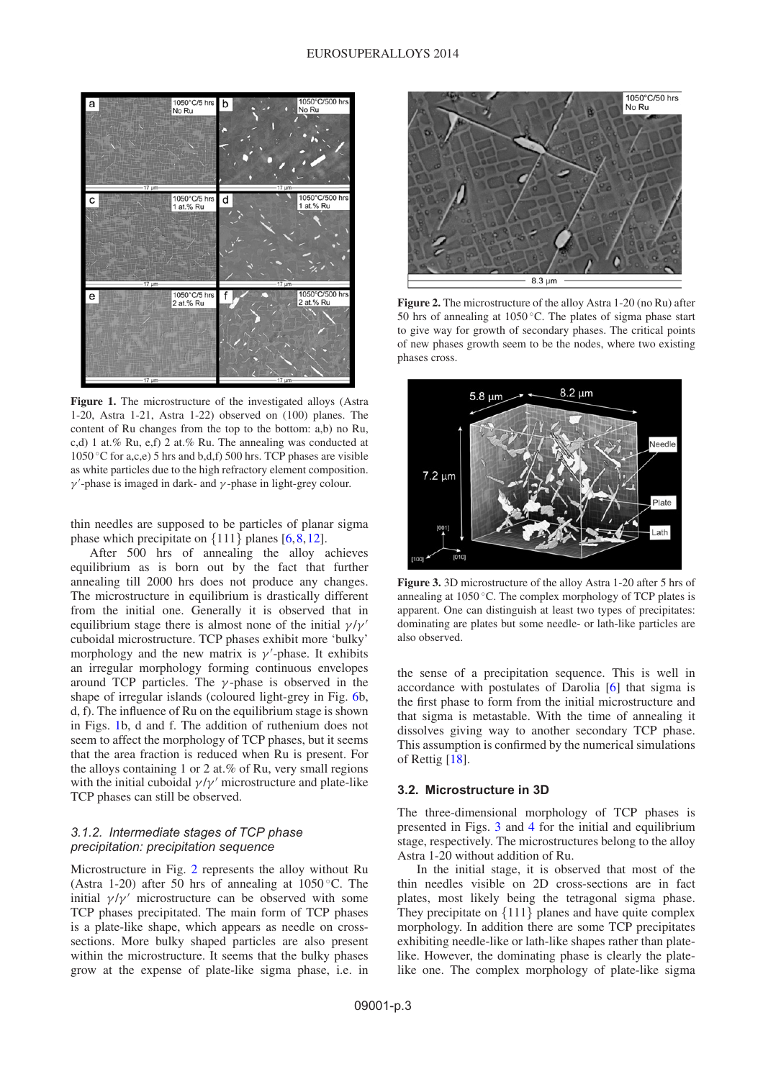<span id="page-2-0"></span>

**Figure 1.** The microstructure of the investigated alloys (Astra 1-20, Astra 1-21, Astra 1-22) observed on (100) planes. The content of Ru changes from the top to the bottom: a,b) no Ru, c,d) 1 at.% Ru, e,f) 2 at.% Ru. The annealing was conducted at 1050 ◦C for a,c,e) 5 hrs and b,d,f) 500 hrs. TCP phases are visible as white particles due to the high refractory element composition.  $\gamma'$ -phase is imaged in dark- and  $\gamma$ -phase in light-grey colour.

thin needles are supposed to be particles of planar sigma phase which precipitate on  $\{111\}$  planes  $[6, 8, 12]$  $[6, 8, 12]$  $[6, 8, 12]$  $[6, 8, 12]$  $[6, 8, 12]$ .

After 500 hrs of annealing the alloy achieves equilibrium as is born out by the fact that further annealing till 2000 hrs does not produce any changes. The microstructure in equilibrium is drastically different from the initial one. Generally it is observed that in equilibrium stage there is almost none of the initial  $\gamma/\gamma'$ cuboidal microstructure. TCP phases exhibit more 'bulky' morphology and the new matrix is  $\gamma'$ -phase. It exhibits an irregular morphology forming continuous envelopes around TCP particles. The  $\gamma$ -phase is observed in the shape of irregular islands (coloured light-grey in Fig. [6b](#page-4-0), d, f). The influence of Ru on the equilibrium stage is shown in Figs. [1b](#page-2-0), d and f. The addition of ruthenium does not seem to affect the morphology of TCP phases, but it seems that the area fraction is reduced when Ru is present. For the alloys containing 1 or 2 at.% of Ru, very small regions with the initial cuboidal  $\gamma/\gamma'$  microstructure and plate-like TCP phases can still be observed.

# *3.1.2. Intermediate stages of TCP phase precipitation: precipitation sequence*

Microstructure in Fig. [2](#page-2-1) represents the alloy without Ru (Astra 1-20) after 50 hrs of annealing at  $1050^{\circ}$ C. The initial  $\gamma/\gamma'$  microstructure can be observed with some TCP phases precipitated. The main form of TCP phases is a plate-like shape, which appears as needle on crosssections. More bulky shaped particles are also present within the microstructure. It seems that the bulky phases grow at the expense of plate-like sigma phase, i.e. in

<span id="page-2-1"></span>

**Figure 2.** The microstructure of the alloy Astra 1-20 (no Ru) after 50 hrs of annealing at  $1050^{\circ}$ C. The plates of sigma phase start to give way for growth of secondary phases. The critical points of new phases growth seem to be the nodes, where two existing phases cross.

<span id="page-2-2"></span>

**Figure 3.** 3D microstructure of the alloy Astra 1-20 after 5 hrs of annealing at  $1050\,^{\circ}$ C. The complex morphology of TCP plates is apparent. One can distinguish at least two types of precipitates: dominating are plates but some needle- or lath-like particles are also observed.

the sense of a precipitation sequence. This is well in accordance with postulates of Darolia [\[6\]](#page-5-5) that sigma is the first phase to form from the initial microstructure and that sigma is metastable. With the time of annealing it dissolves giving way to another secondary TCP phase. This assumption is confirmed by the numerical simulations of Rettig [\[18\]](#page-5-15).

### **3.2. Microstructure in 3D**

The three-dimensional morphology of TCP phases is presented in Figs. [3](#page-2-2) and [4](#page-3-0) for the initial and equilibrium stage, respectively. The microstructures belong to the alloy Astra 1-20 without addition of Ru.

In the initial stage, it is observed that most of the thin needles visible on 2D cross-sections are in fact plates, most likely being the tetragonal sigma phase. They precipitate on {111} planes and have quite complex morphology. In addition there are some TCP precipitates exhibiting needle-like or lath-like shapes rather than platelike. However, the dominating phase is clearly the platelike one. The complex morphology of plate-like sigma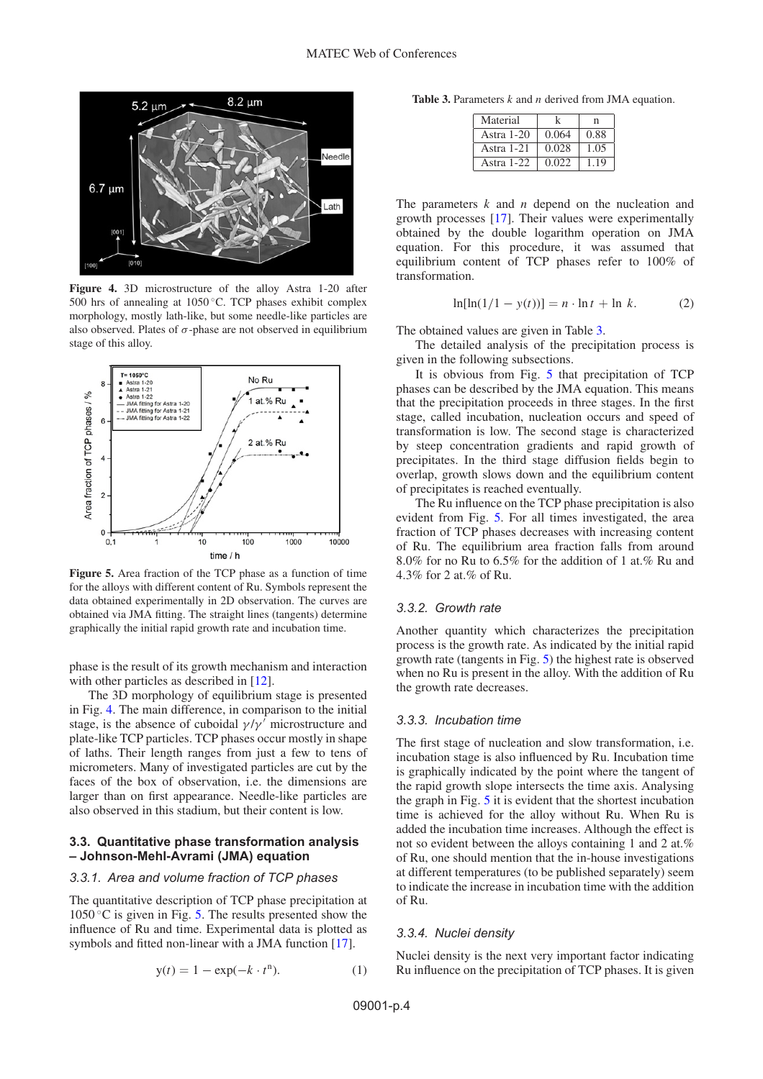<span id="page-3-0"></span>

**Figure 4.** 3D microstructure of the alloy Astra 1-20 after 500 hrs of annealing at 1050 ◦C. TCP phases exhibit complex morphology, mostly lath-like, but some needle-like particles are also observed. Plates of  $\sigma$ -phase are not observed in equilibrium stage of this alloy.

<span id="page-3-1"></span>

**Figure 5.** Area fraction of the TCP phase as a function of time for the alloys with different content of Ru. Symbols represent the data obtained experimentally in 2D observation. The curves are obtained via JMA fitting. The straight lines (tangents) determine graphically the initial rapid growth rate and incubation time.

phase is the result of its growth mechanism and interaction with other particles as described in [\[12](#page-5-8)].

The 3D morphology of equilibrium stage is presented in Fig. [4.](#page-3-0) The main difference, in comparison to the initial stage, is the absence of cuboidal  $\gamma/\gamma'$  microstructure and plate-like TCP particles. TCP phases occur mostly in shape of laths. Their length ranges from just a few to tens of micrometers. Many of investigated particles are cut by the faces of the box of observation, i.e. the dimensions are larger than on first appearance. Needle-like particles are also observed in this stadium, but their content is low.

#### **3.3. Quantitative phase transformation analysis – Johnson-Mehl-Avrami (JMA) equation**

### *3.3.1. Area and volume fraction of TCP phases*

The quantitative description of TCP phase precipitation at  $1050\degree$ C is given in Fig. [5.](#page-3-1) The results presented show the influence of Ru and time. Experimental data is plotted as symbols and fitted non-linear with a JMA function [\[17\]](#page-5-13).

$$
y(t) = 1 - \exp(-k \cdot t^n). \tag{1}
$$

<span id="page-3-2"></span>**Table 3.** Parameters *k* and *n* derived from JMA equation.

| Material     |       | n    |
|--------------|-------|------|
| Astra $1-20$ | 0.064 | 0.88 |
| Astra $1-21$ | 0.028 | 1.05 |
| Astra 1-22   | 0.022 | 1.19 |

The parameters *k* and *n* depend on the nucleation and growth processes [\[17\]](#page-5-13). Their values were experimentally obtained by the double logarithm operation on JMA equation. For this procedure, it was assumed that equilibrium content of TCP phases refer to 100% of transformation.

$$
\ln[\ln(1/1 - y(t))] = n \cdot \ln t + \ln k. \tag{2}
$$

The obtained values are given in Table [3.](#page-3-2)

The detailed analysis of the precipitation process is given in the following subsections.

It is obvious from Fig. [5](#page-3-1) that precipitation of TCP phases can be described by the JMA equation. This means that the precipitation proceeds in three stages. In the first stage, called incubation, nucleation occurs and speed of transformation is low. The second stage is characterized by steep concentration gradients and rapid growth of precipitates. In the third stage diffusion fields begin to overlap, growth slows down and the equilibrium content of precipitates is reached eventually.

The Ru influence on the TCP phase precipitation is also evident from Fig. [5.](#page-3-1) For all times investigated, the area fraction of TCP phases decreases with increasing content of Ru. The equilibrium area fraction falls from around 8.0% for no Ru to 6.5% for the addition of 1 at.% Ru and 4.3% for 2 at.% of Ru.

#### *3.3.2. Growth rate*

Another quantity which characterizes the precipitation process is the growth rate. As indicated by the initial rapid growth rate (tangents in Fig. [5\)](#page-3-1) the highest rate is observed when no Ru is present in the alloy. With the addition of Ru the growth rate decreases.

#### *3.3.3. Incubation time*

The first stage of nucleation and slow transformation, i.e. incubation stage is also influenced by Ru. Incubation time is graphically indicated by the point where the tangent of the rapid growth slope intersects the time axis. Analysing the graph in Fig. [5](#page-3-1) it is evident that the shortest incubation time is achieved for the alloy without Ru. When Ru is added the incubation time increases. Although the effect is not so evident between the alloys containing 1 and 2 at.% of Ru, one should mention that the in-house investigations at different temperatures (to be published separately) seem to indicate the increase in incubation time with the addition of Ru.

### *3.3.4. Nuclei density*

Nuclei density is the next very important factor indicating Ru influence on the precipitation of TCP phases. It is given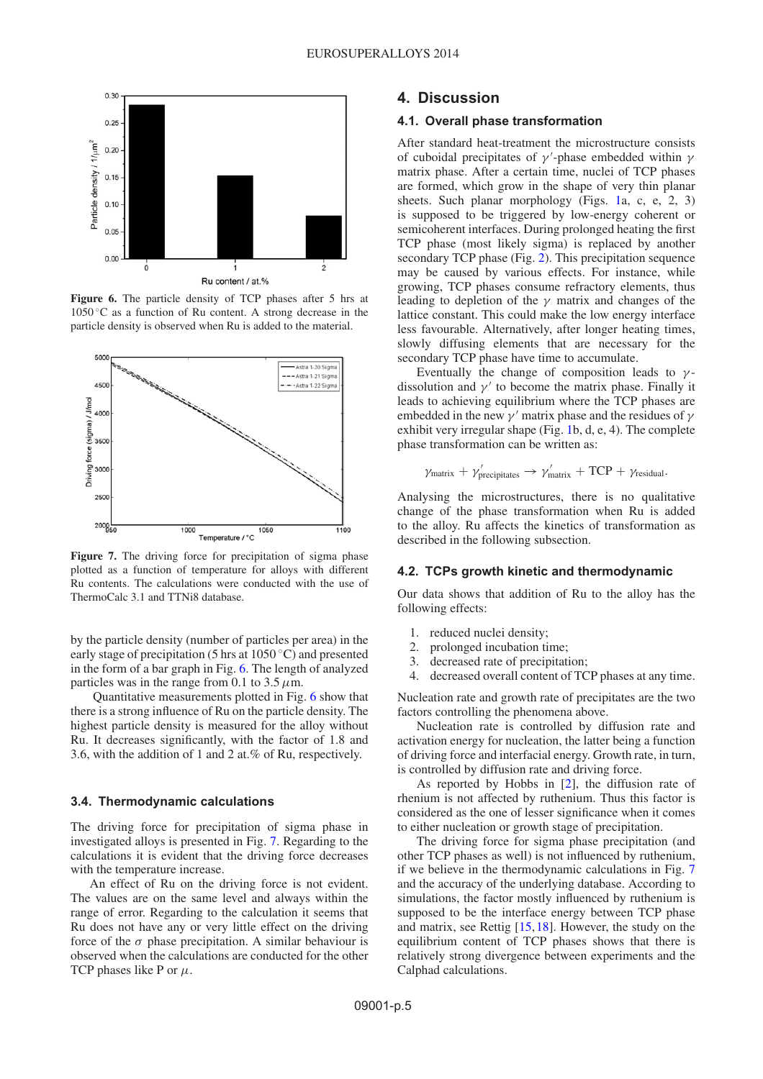<span id="page-4-0"></span>

**Figure 6.** The particle density of TCP phases after 5 hrs at  $1050$  °C as a function of Ru content. A strong decrease in the particle density is observed when Ru is added to the material.

<span id="page-4-1"></span>

**Figure 7.** The driving force for precipitation of sigma phase plotted as a function of temperature for alloys with different Ru contents. The calculations were conducted with the use of ThermoCalc 3.1 and TTNi8 database.

by the particle density (number of particles per area) in the early stage of precipitation (5 hrs at  $1050^{\circ}$ C) and presented in the form of a bar graph in Fig. [6.](#page-4-0) The length of analyzed particles was in the range from 0.1 to 3.5  $\mu$ m.

Quantitative measurements plotted in Fig. [6](#page-4-0) show that there is a strong influence of Ru on the particle density. The highest particle density is measured for the alloy without Ru. It decreases significantly, with the factor of 1.8 and 3.6, with the addition of 1 and 2 at.% of Ru, respectively.

#### **3.4. Thermodynamic calculations**

The driving force for precipitation of sigma phase in investigated alloys is presented in Fig. [7.](#page-4-1) Regarding to the calculations it is evident that the driving force decreases with the temperature increase.

An effect of Ru on the driving force is not evident. The values are on the same level and always within the range of error. Regarding to the calculation it seems that Ru does not have any or very little effect on the driving force of the  $\sigma$  phase precipitation. A similar behaviour is observed when the calculations are conducted for the other TCP phases like P or  $\mu$ .

# **4. Discussion**

### **4.1. Overall phase transformation**

After standard heat-treatment the microstructure consists of cuboidal precipitates of  $\gamma'$ -phase embedded within  $\gamma$ matrix phase. After a certain time, nuclei of TCP phases are formed, which grow in the shape of very thin planar sheets. Such planar morphology (Figs. [1a](#page-2-0), c, e, 2, 3) is supposed to be triggered by low-energy coherent or semicoherent interfaces. During prolonged heating the first TCP phase (most likely sigma) is replaced by another secondary TCP phase (Fig. [2\)](#page-2-1). This precipitation sequence may be caused by various effects. For instance, while growing, TCP phases consume refractory elements, thus leading to depletion of the  $\gamma$  matrix and changes of the lattice constant. This could make the low energy interface less favourable. Alternatively, after longer heating times, slowly diffusing elements that are necessary for the secondary TCP phase have time to accumulate.

Eventually the change of composition leads to  $\gamma$ dissolution and  $\gamma'$  to become the matrix phase. Finally it leads to achieving equilibrium where the TCP phases are embedded in the new  $\gamma'$  matrix phase and the residues of  $\gamma$ exhibit very irregular shape (Fig. [1b](#page-2-0), d, e, 4). The complete phase transformation can be written as:

$$
\gamma_{\text{matrix}} + \gamma_{\text{precipitates}}' \rightarrow \gamma_{\text{matrix}}' + \text{TCP} + \gamma_{\text{residual}}.
$$

Analysing the microstructures, there is no qualitative change of the phase transformation when Ru is added to the alloy. Ru affects the kinetics of transformation as described in the following subsection.

#### **4.2. TCPs growth kinetic and thermodynamic**

Our data shows that addition of Ru to the alloy has the following effects:

- 1. reduced nuclei density;
- 2. prolonged incubation time;
- 3. decreased rate of precipitation;
- 4. decreased overall content of TCP phases at any time.

Nucleation rate and growth rate of precipitates are the two factors controlling the phenomena above.

Nucleation rate is controlled by diffusion rate and activation energy for nucleation, the latter being a function of driving force and interfacial energy. Growth rate, in turn, is controlled by diffusion rate and driving force.

As reported by Hobbs in [\[2\]](#page-5-1), the diffusion rate of rhenium is not affected by ruthenium. Thus this factor is considered as the one of lesser significance when it comes to either nucleation or growth stage of precipitation.

The driving force for sigma phase precipitation (and other TCP phases as well) is not influenced by ruthenium, if we believe in the thermodynamic calculations in Fig. [7](#page-4-1) and the accuracy of the underlying database. According to simulations, the factor mostly influenced by ruthenium is supposed to be the interface energy between TCP phase and matrix, see Rettig [\[15,](#page-5-11)[18](#page-5-15)]. However, the study on the equilibrium content of TCP phases shows that there is relatively strong divergence between experiments and the Calphad calculations.